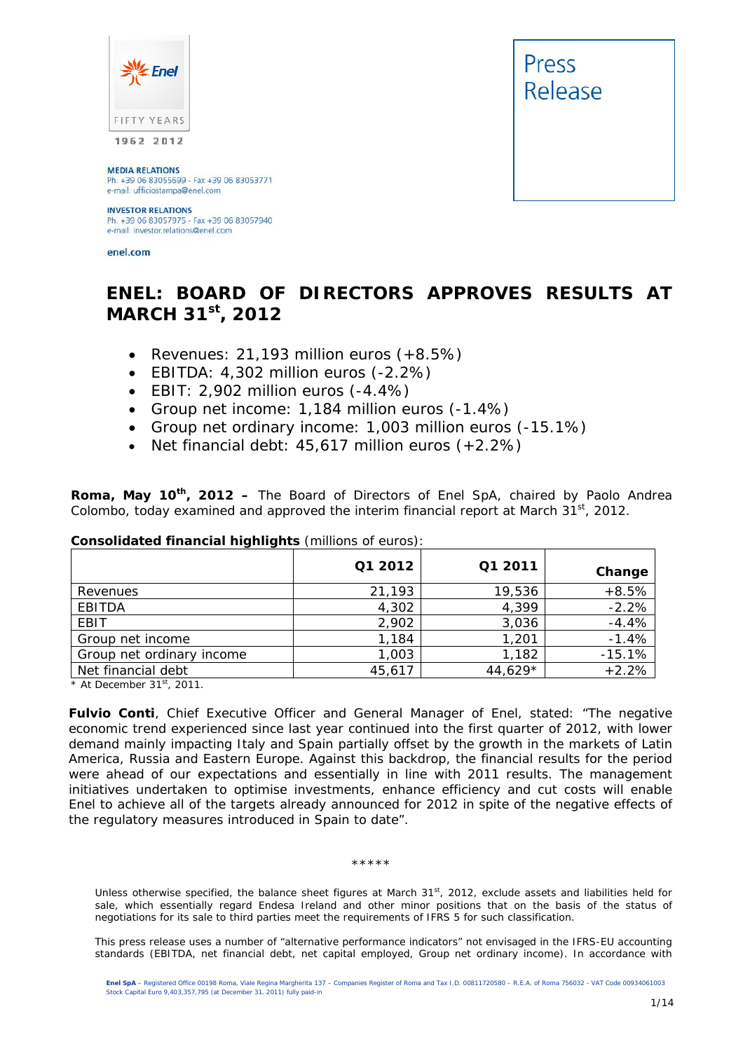

**MEDIA RELATIONS** Ph. +39 06 83055699 - Fax +39 06 83053771<br>e-mail: ufficiostampa@enel.com

#### **INVESTOR RELATIONS**

Ph. +39 06 83057975 - Fax +39 06 83057940 e-mail: investor.relations@enel.com

enel.com



# **ENEL: BOARD OF DIRECTORS APPROVES RESULTS AT MARCH 31st, 2012**

- *Revenues: 21,193 million euros (+8.5%)*
- *EBITDA: 4,302 million euros (-2.2%)*
- *EBIT: 2,902 million euros (-4.4%)*
- *Group net income: 1,184 million euros (-1.4%)*
- *Group net ordinary income: 1,003 million euros (-15.1%)*
- *Net financial debt: 45,617 million euros (+2.2%)*

**Roma, May 10th, 2012 –** The Board of Directors of Enel SpA, chaired by Paolo Andrea Colombo, today examined and approved the interim financial report at March  $31^{st}$ , 2012.

|                           | Q1 2012 | Q1 2011 | Change   |
|---------------------------|---------|---------|----------|
| Revenues                  | 21,193  | 19,536  | $+8.5%$  |
| <b>EBITDA</b>             | 4,302   | 4,399   | $-2.2%$  |
| EBIT                      | 2,902   | 3,036   | $-4.4%$  |
| Group net income          | 1,184   | 1,201   | $-1.4%$  |
| Group net ordinary income | 1,003   | 1,182   | $-15.1%$ |
| Net financial debt        | 45,617  | 44,629* | $+2.2%$  |

#### **Consolidated financial highlights** (millions of euros):

*\* At December 31st, 2011.* 

**Fulvio Conti**, Chief Executive Officer and General Manager of Enel, stated: "The negative economic trend experienced since last year continued into the first quarter of 2012, with lower demand mainly impacting Italy and Spain partially offset by the growth in the markets of Latin America, Russia and Eastern Europe. Against this backdrop, the financial results for the period were ahead of our expectations and essentially in line with 2011 results. The management initiatives undertaken to optimise investments, enhance efficiency and cut costs will enable Enel to achieve all of the targets already announced for 2012 in spite of the negative effects of the regulatory measures introduced in Spain to date".

#### \*\*\*\*\*

Unless otherwise specified, the balance sheet figures at March 31<sup>st</sup>, 2012, exclude assets and liabilities held for sale, which essentially regard Endesa Ireland and other minor positions that on the basis of the status of negotiations for its sale to third parties meet the requirements of IFRS 5 for such classification.

This press release uses a number of "alternative performance indicators" not envisaged in the IFRS-EU accounting standards (EBITDA, net financial debt, net capital employed, Group net ordinary income). In accordance with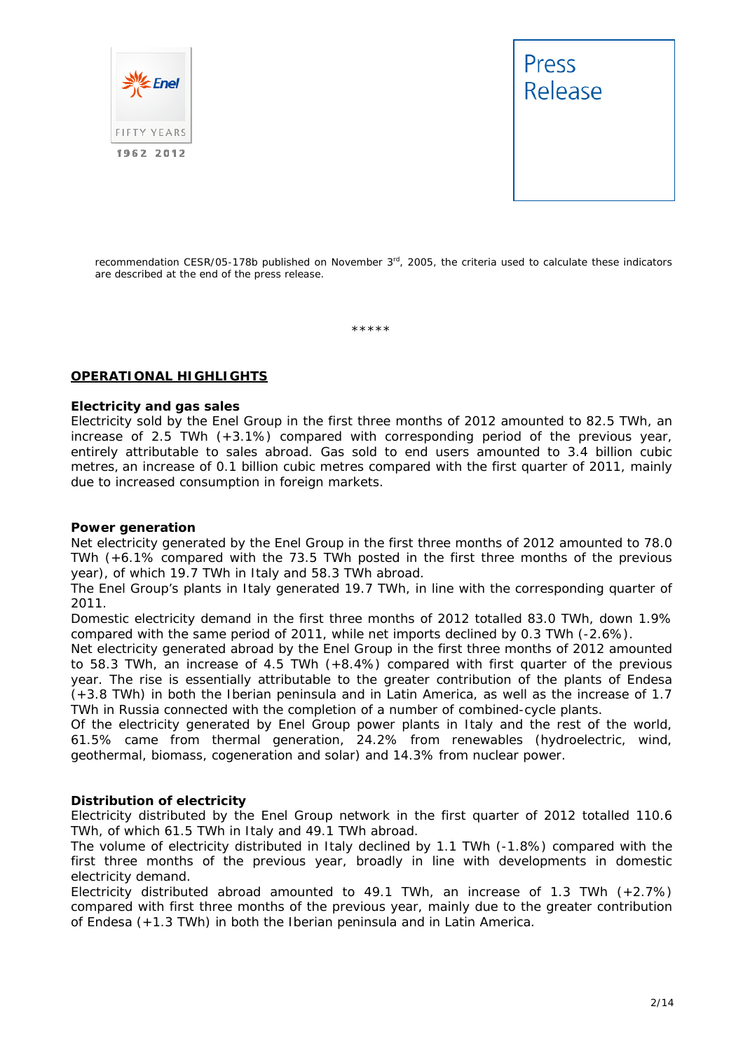



recommendation CESR/05-178b published on November 3<sup>rd</sup>, 2005, the criteria used to calculate these indicators are described at the end of the press release.

\*\*\*\*\*

#### **OPERATIONAL HIGHLIGHTS**

#### **Electricity and gas sales**

Electricity sold by the Enel Group in the first three months of 2012 amounted to 82.5 TWh, an increase of 2.5 TWh (+3.1%) compared with corresponding period of the previous year, entirely attributable to sales abroad. Gas sold to end users amounted to 3.4 billion cubic metres, an increase of 0.1 billion cubic metres compared with the first quarter of 2011, mainly due to increased consumption in foreign markets.

#### **Power generation**

Net electricity generated by the Enel Group in the first three months of 2012 amounted to 78.0 TWh (+6.1% compared with the 73.5 TWh posted in the first three months of the previous year), of which 19.7 TWh in Italy and 58.3 TWh abroad.

The Enel Group's plants in Italy generated 19.7 TWh, in line with the corresponding quarter of 2011.

Domestic electricity demand in the first three months of 2012 totalled 83.0 TWh, down 1.9% compared with the same period of 2011, while net imports declined by 0.3 TWh (-2.6%).

Net electricity generated abroad by the Enel Group in the first three months of 2012 amounted to 58.3 TWh, an increase of 4.5 TWh (+8.4%) compared with first quarter of the previous year. The rise is essentially attributable to the greater contribution of the plants of Endesa (+3.8 TWh) in both the Iberian peninsula and in Latin America, as well as the increase of 1.7 TWh in Russia connected with the completion of a number of combined-cycle plants.

Of the electricity generated by Enel Group power plants in Italy and the rest of the world, 61.5% came from thermal generation, 24.2% from renewables (hydroelectric, wind, geothermal, biomass, cogeneration and solar) and 14.3% from nuclear power.

#### **Distribution of electricity**

Electricity distributed by the Enel Group network in the first quarter of 2012 totalled 110.6 TWh, of which 61.5 TWh in Italy and 49.1 TWh abroad.

The volume of electricity distributed in Italy declined by 1.1 TWh (-1.8%) compared with the first three months of the previous year, broadly in line with developments in domestic electricity demand.

Electricity distributed abroad amounted to 49.1 TWh, an increase of 1.3 TWh (+2.7%) compared with first three months of the previous year, mainly due to the greater contribution of Endesa (+1.3 TWh) in both the Iberian peninsula and in Latin America.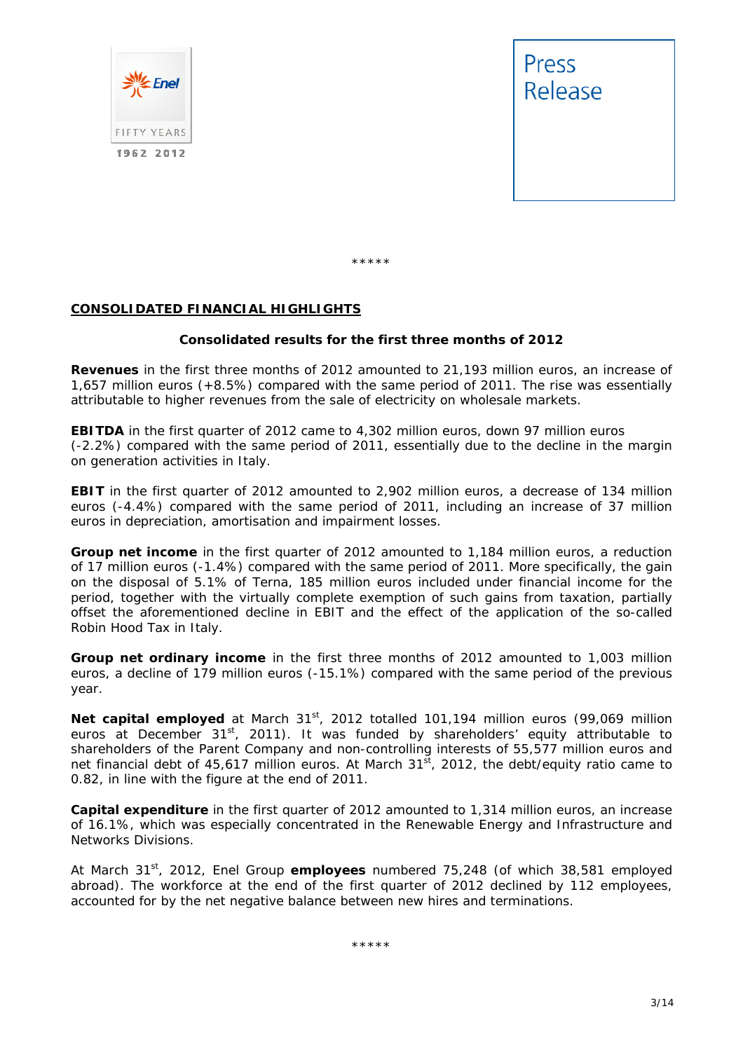



\*\*\*\*\*

#### **CONSOLIDATED FINANCIAL HIGHLIGHTS**

#### **Consolidated results for the first three months of 2012**

**Revenues** in the first three months of 2012 amounted to 21,193 million euros, an increase of 1,657 million euros (+8.5%) compared with the same period of 2011. The rise was essentially attributable to higher revenues from the sale of electricity on wholesale markets.

**EBITDA** in the first quarter of 2012 came to 4,302 million euros, down 97 million euros (-2.2%) compared with the same period of 2011, essentially due to the decline in the margin on generation activities in Italy.

**EBIT** in the first quarter of 2012 amounted to 2,902 million euros, a decrease of 134 million euros (-4.4%) compared with the same period of 2011, including an increase of 37 million euros in depreciation, amortisation and impairment losses.

**Group net income** in the first quarter of 2012 amounted to 1,184 million euros, a reduction of 17 million euros (-1.4%) compared with the same period of 2011. More specifically, the gain on the disposal of 5.1% of Terna, 185 million euros included under financial income for the period, together with the virtually complete exemption of such gains from taxation, partially offset the aforementioned decline in EBIT and the effect of the application of the so-called Robin Hood Tax in Italy.

**Group net ordinary income** in the first three months of 2012 amounted to 1,003 million euros, a decline of 179 million euros (-15.1%) compared with the same period of the previous year.

Net capital employed at March 31<sup>st</sup>, 2012 totalled 101,194 million euros (99,069 million euros at December  $31^{st}$ , 2011). It was funded by shareholders' equity attributable to shareholders of the Parent Company and non-controlling interests of 55,577 million euros and net financial debt of 45,617 million euros. At March  $31<sup>st</sup>$ , 2012, the debt/equity ratio came to 0.82, in line with the figure at the end of 2011.

**Capital expenditure** in the first quarter of 2012 amounted to 1,314 million euros, an increase of 16.1%, which was especially concentrated in the Renewable Energy and Infrastructure and Networks Divisions.

At March 31st, 2012, Enel Group **employees** numbered 75,248 (of which 38,581 employed abroad). The workforce at the end of the first quarter of 2012 declined by 112 employees, accounted for by the net negative balance between new hires and terminations.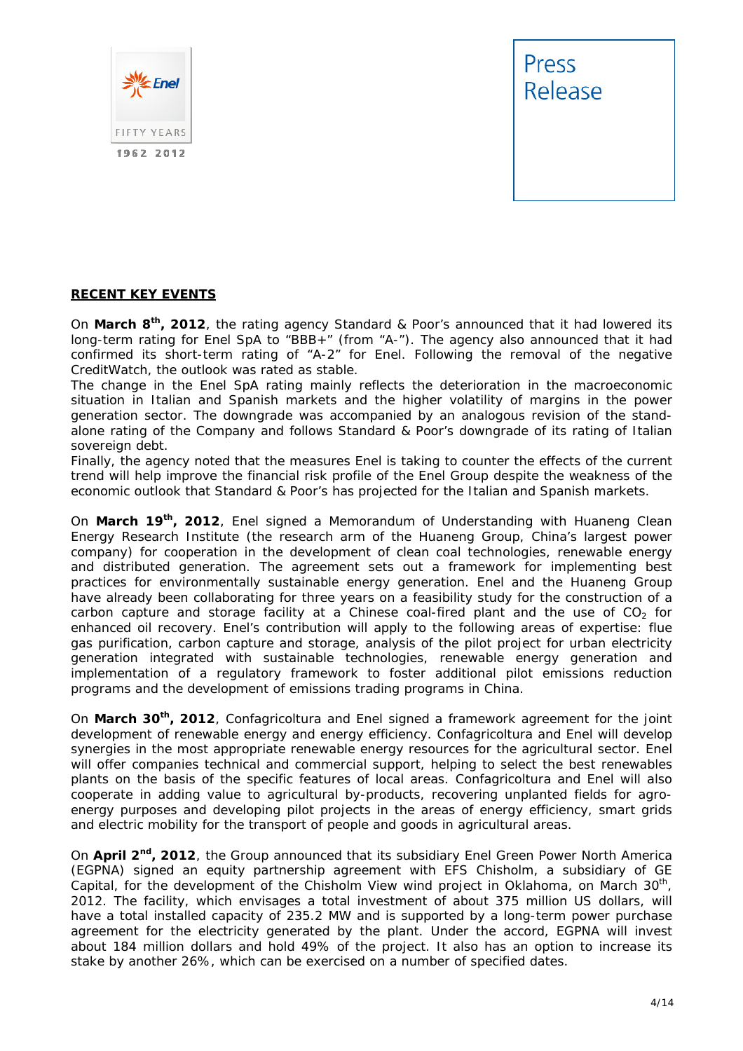



#### **RECENT KEY EVENTS**

On **March 8th, 2012**, the rating agency Standard & Poor's announced that it had lowered its long-term rating for Enel SpA to "BBB+" (from "A-"). The agency also announced that it had confirmed its short-term rating of "A-2" for Enel. Following the removal of the negative CreditWatch, the outlook was rated as stable.

The change in the Enel SpA rating mainly reflects the deterioration in the macroeconomic situation in Italian and Spanish markets and the higher volatility of margins in the power generation sector. The downgrade was accompanied by an analogous revision of the standalone rating of the Company and follows Standard & Poor's downgrade of its rating of Italian sovereign debt.

Finally, the agency noted that the measures Enel is taking to counter the effects of the current trend will help improve the financial risk profile of the Enel Group despite the weakness of the economic outlook that Standard & Poor's has projected for the Italian and Spanish markets.

On **March 19th, 2012**, Enel signed a Memorandum of Understanding with Huaneng Clean Energy Research Institute (the research arm of the Huaneng Group, China's largest power company) for cooperation in the development of clean coal technologies, renewable energy and distributed generation. The agreement sets out a framework for implementing best practices for environmentally sustainable energy generation. Enel and the Huaneng Group have already been collaborating for three years on a feasibility study for the construction of a carbon capture and storage facility at a Chinese coal-fired plant and the use of  $CO<sub>2</sub>$  for enhanced oil recovery. Enel's contribution will apply to the following areas of expertise: flue gas purification, carbon capture and storage, analysis of the pilot project for urban electricity generation integrated with sustainable technologies, renewable energy generation and implementation of a regulatory framework to foster additional pilot emissions reduction programs and the development of emissions trading programs in China.

On **March 30th, 2012**, Confagricoltura and Enel signed a framework agreement for the joint development of renewable energy and energy efficiency. Confagricoltura and Enel will develop synergies in the most appropriate renewable energy resources for the agricultural sector. Enel will offer companies technical and commercial support, helping to select the best renewables plants on the basis of the specific features of local areas. Confagricoltura and Enel will also cooperate in adding value to agricultural by-products, recovering unplanted fields for agroenergy purposes and developing pilot projects in the areas of energy efficiency, smart grids and electric mobility for the transport of people and goods in agricultural areas.

On **April 2nd, 2012**, the Group announced that its subsidiary Enel Green Power North America (EGPNA) signed an equity partnership agreement with EFS Chisholm, a subsidiary of GE Capital, for the development of the Chisholm View wind project in Oklahoma, on March  $30<sup>th</sup>$ , 2012. The facility, which envisages a total investment of about 375 million US dollars, will have a total installed capacity of 235.2 MW and is supported by a long-term power purchase agreement for the electricity generated by the plant. Under the accord, EGPNA will invest about 184 million dollars and hold 49% of the project. It also has an option to increase its stake by another 26%, which can be exercised on a number of specified dates.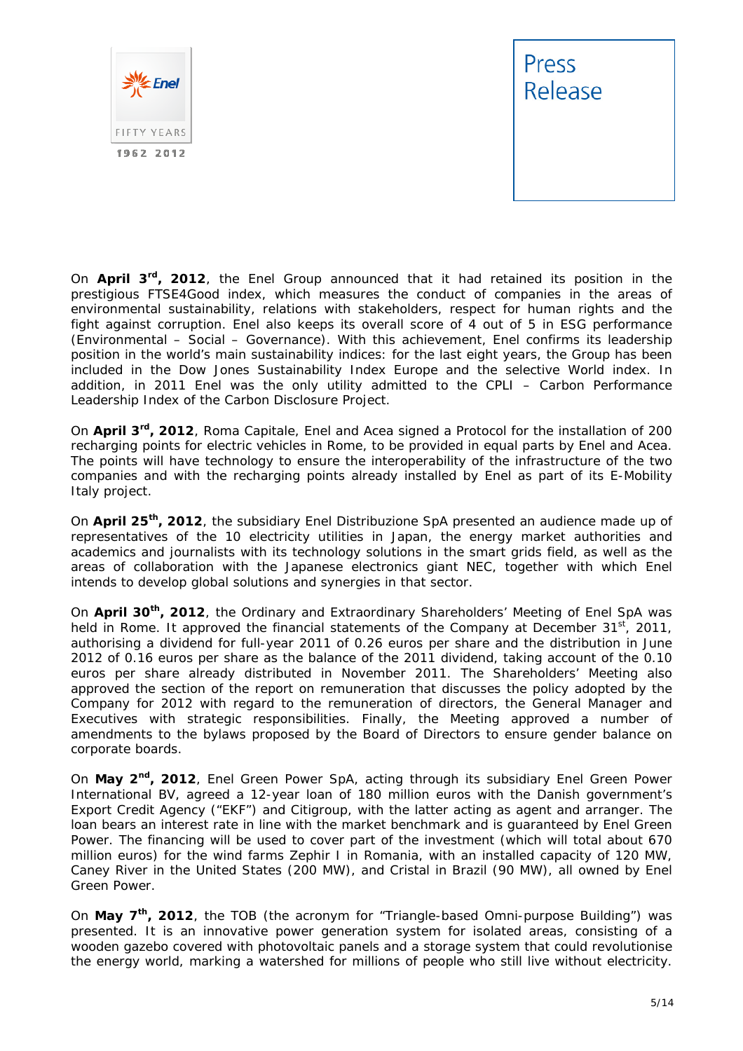



On **April 3rd, 2012**, the Enel Group announced that it had retained its position in the prestigious FTSE4Good index, which measures the conduct of companies in the areas of environmental sustainability, relations with stakeholders, respect for human rights and the fight against corruption. Enel also keeps its overall score of 4 out of 5 in ESG performance (Environmental – Social – Governance). With this achievement, Enel confirms its leadership position in the world's main sustainability indices: for the last eight years, the Group has been included in the Dow Jones Sustainability Index Europe and the selective World index. In addition, in 2011 Enel was the only utility admitted to the CPLI – Carbon Performance Leadership Index of the Carbon Disclosure Project.

On **April 3rd, 2012**, Roma Capitale, Enel and Acea signed a Protocol for the installation of 200 recharging points for electric vehicles in Rome, to be provided in equal parts by Enel and Acea. The points will have technology to ensure the interoperability of the infrastructure of the two companies and with the recharging points already installed by Enel as part of its E-Mobility Italy project.

On **April 25th, 2012**, the subsidiary Enel Distribuzione SpA presented an audience made up of representatives of the 10 electricity utilities in Japan, the energy market authorities and academics and journalists with its technology solutions in the smart grids field, as well as the areas of collaboration with the Japanese electronics giant NEC, together with which Enel intends to develop global solutions and synergies in that sector.

On **April 30th, 2012**, the Ordinary and Extraordinary Shareholders' Meeting of Enel SpA was held in Rome. It approved the financial statements of the Company at December  $31^{st}$ , 2011, authorising a dividend for full-year 2011 of 0.26 euros per share and the distribution in June 2012 of 0.16 euros per share as the balance of the 2011 dividend, taking account of the 0.10 euros per share already distributed in November 2011. The Shareholders' Meeting also approved the section of the report on remuneration that discusses the policy adopted by the Company for 2012 with regard to the remuneration of directors, the General Manager and Executives with strategic responsibilities. Finally, the Meeting approved a number of amendments to the bylaws proposed by the Board of Directors to ensure gender balance on corporate boards.

On **May 2nd, 2012**, Enel Green Power SpA, acting through its subsidiary Enel Green Power International BV, agreed a 12-year loan of 180 million euros with the Danish government's Export Credit Agency ("EKF") and Citigroup, with the latter acting as agent and arranger. The loan bears an interest rate in line with the market benchmark and is guaranteed by Enel Green Power. The financing will be used to cover part of the investment (which will total about 670 million euros) for the wind farms Zephir I in Romania, with an installed capacity of 120 MW, Caney River in the United States (200 MW), and Cristal in Brazil (90 MW), all owned by Enel Green Power.

On **May 7th, 2012**, the TOB (the acronym for "Triangle-based Omni-purpose Building") was presented. It is an innovative power generation system for isolated areas, consisting of a wooden gazebo covered with photovoltaic panels and a storage system that could revolutionise the energy world, marking a watershed for millions of people who still live without electricity.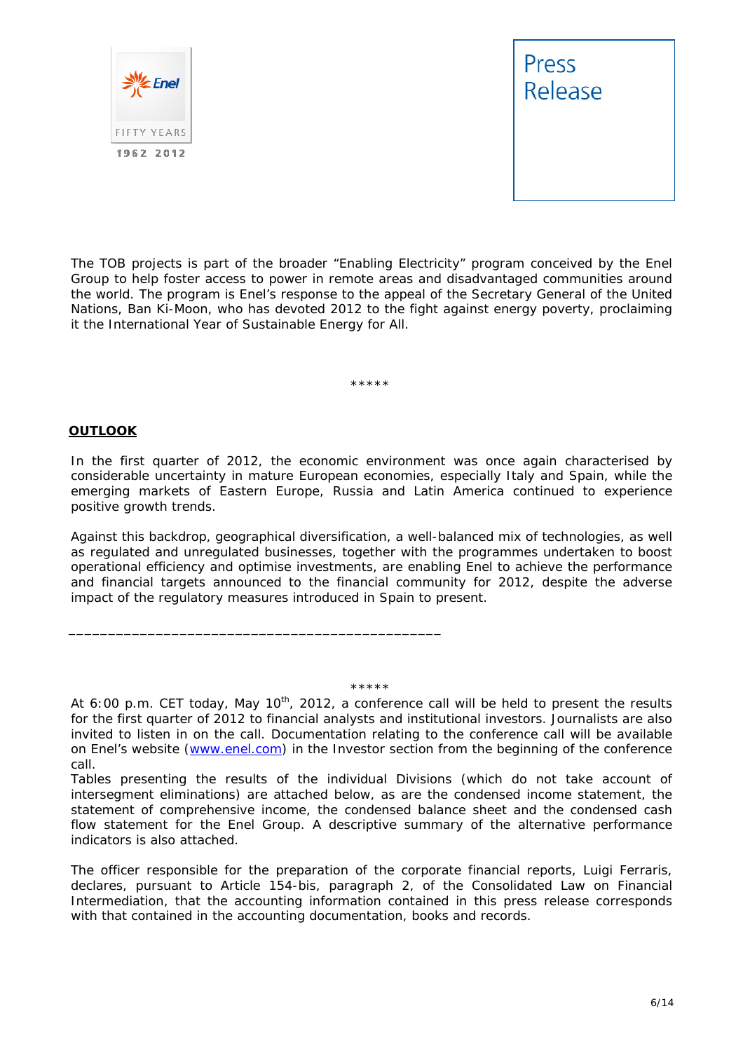



The TOB projects is part of the broader "Enabling Electricity" program conceived by the Enel Group to help foster access to power in remote areas and disadvantaged communities around the world. The program is Enel's response to the appeal of the Secretary General of the United Nations, Ban Ki-Moon, who has devoted 2012 to the fight against energy poverty, proclaiming it the International Year of Sustainable Energy for All.

\*\*\*\*\*

#### **OUTLOOK**

In the first quarter of 2012, the economic environment was once again characterised by considerable uncertainty in mature European economies, especially Italy and Spain, while the emerging markets of Eastern Europe, Russia and Latin America continued to experience positive growth trends.

Against this backdrop, geographical diversification, a well-balanced mix of technologies, as well as regulated and unregulated businesses, together with the programmes undertaken to boost operational efficiency and optimise investments, are enabling Enel to achieve the performance and financial targets announced to the financial community for 2012, despite the adverse impact of the regulatory measures introduced in Spain to present.

\*\*\*\*\*

\_\_\_\_\_\_\_\_\_\_\_\_\_\_\_\_\_\_\_\_\_\_\_\_\_\_\_\_\_\_\_\_\_\_\_\_\_\_\_\_\_\_\_\_\_\_\_

*At 6:00 p.m. CET today, May 10th, 2012, a conference call will be held to present the results for the first quarter of 2012 to financial analysts and institutional investors. Journalists are also*  invited to listen in on the call. Documentation relating to the conference call will be available *on Enel's website (www.enel.com) in the Investor section from the beginning of the conference call.* 

Tables presenting the results of the individual Divisions (which do not take account of *intersegment eliminations) are attached below, as are the condensed income statement, the statement of comprehensive income, the condensed balance sheet and the condensed cash flow statement for the Enel Group. A descriptive summary of the alternative performance indicators is also attached.* 

*The officer responsible for the preparation of the corporate financial reports, Luigi Ferraris, declares, pursuant to Article 154-bis, paragraph 2, of the Consolidated Law on Financial Intermediation, that the accounting information contained in this press release corresponds with that contained in the accounting documentation, books and records.*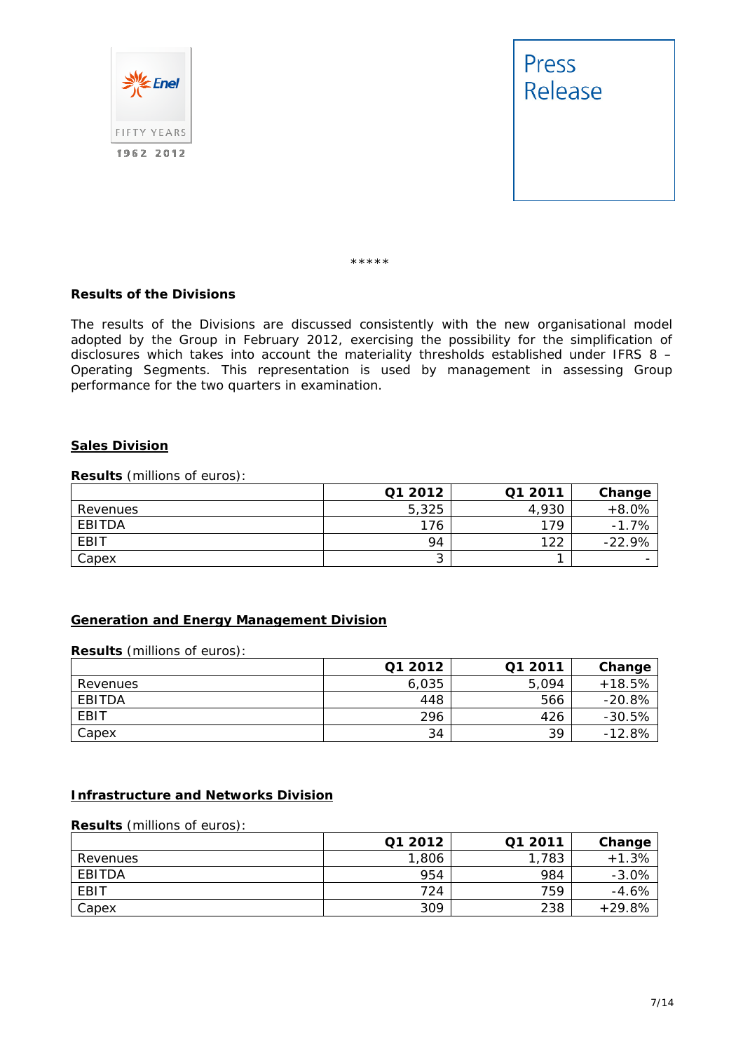



\*\*\*\*\*

#### **Results of the Divisions**

The results of the Divisions are discussed consistently with the new organisational model adopted by the Group in February 2012, exercising the possibility for the simplification of disclosures which takes into account the materiality thresholds established under IFRS 8 – Operating Segments. This representation is used by management in assessing Group performance for the two quarters in examination.

#### **Sales Division**

**Results** (millions of euros):

|             | Q1 2012 | Q1 2011 | Change   |
|-------------|---------|---------|----------|
| Revenues    | 5,325   | 4,930   | $+8.0%$  |
| EBITDA      | 176     | 179     | $-1.7%$  |
| <b>EBIT</b> | 94      | 122     | $-22.9%$ |
| Capex       | ີ       |         |          |

#### **Generation and Energy Management Division**

**Results** (millions of euros):

|             | Q1 2012 | Q1 2011 | Change   |
|-------------|---------|---------|----------|
| Revenues    | 6,035   | 5.094   | $+18.5%$ |
| EBITDA      | 448     | 566     | $-20.8%$ |
| <b>EBIT</b> | 296     | 426     | $-30.5%$ |
| Capex       | 34      | 39      | $-12.8%$ |

#### **Infrastructure and Networks Division**

**Results** (millions of euros):

|          | Q1 2012 | Q1 2011 | Change   |
|----------|---------|---------|----------|
| Revenues | 1,806   | 1,783   | $+1.3%$  |
| EBITDA   | 954     | 984     | $-3.0%$  |
| EBIT     | 724     | 759     | $-4.6%$  |
| Capex    | 309     | 238     | $+29.8%$ |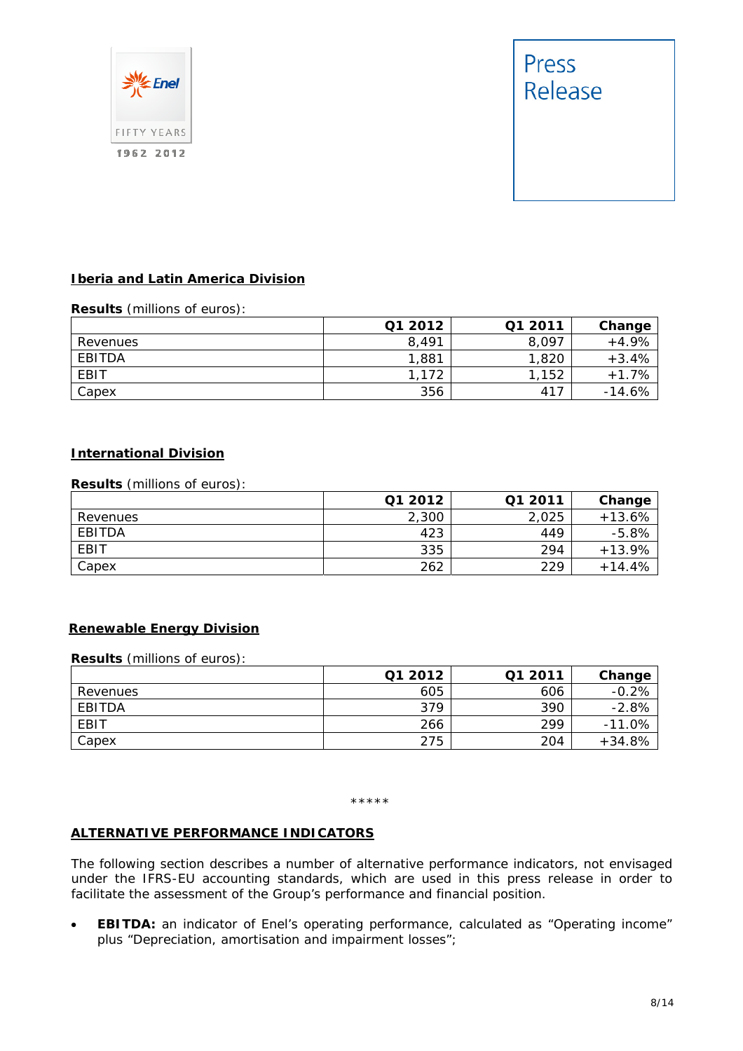



#### **Iberia and Latin America Division**

#### **Results** (millions of euros):

|          | Q1 2012 | Q1 2011 | Change   |
|----------|---------|---------|----------|
| Revenues | 8,491   | 8,097   | $+4.9%$  |
| EBITDA   | 1,881   | 1,820   | $+3.4%$  |
| EBIT     | 1,172   | ,152    | $+1.7%$  |
| Capex    | 356     | 417     | $-14.6%$ |

#### **International Division**

#### **Results** (millions of euros):

|          | Q1 2012 | Q1 2011 | Change   |
|----------|---------|---------|----------|
| Revenues | 2,300   | 2.025   | $+13.6%$ |
| EBITDA   | 423     | 449     | $-5.8%$  |
| EBIT     | 335     | 294     | $+13.9%$ |
| Capex    | 262     | 229     | $+14.4%$ |

#### **Renewable Energy Division**

#### **Results** (millions of euros):

|          | Q1 2012 | Q1 2011 | Change   |
|----------|---------|---------|----------|
| Revenues | 605     | 606     | $-0.2%$  |
| EBITDA   | 379     | 390     | $-2.8%$  |
| EBIT     | 266     | 299     | $-11.0%$ |
| Capex    | 275     | 204     | $+34.8%$ |

#### \*\*\*\*\*

#### **ALTERNATIVE PERFORMANCE INDICATORS**

The following section describes a number of alternative performance indicators, not envisaged under the IFRS-EU accounting standards, which are used in this press release in order to facilitate the assessment of the Group's performance and financial position.

 **EBITDA:** an indicator of Enel's operating performance, calculated as "Operating income" plus "Depreciation, amortisation and impairment losses";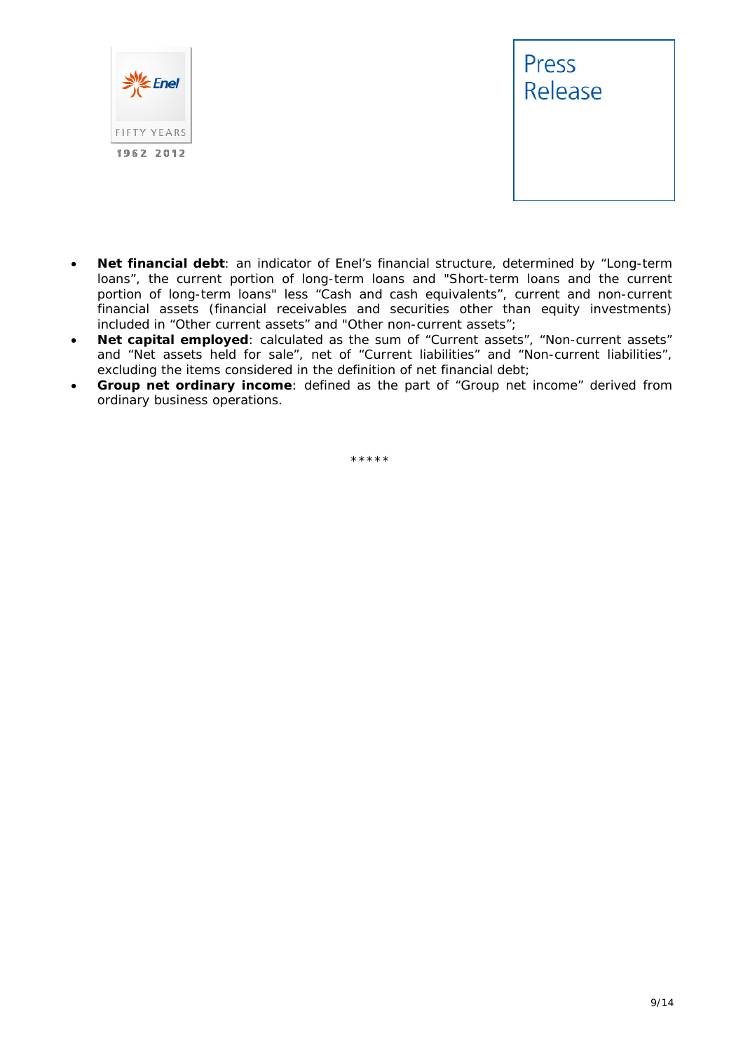



- **Net financial debt**: an indicator of Enel's financial structure, determined by "Long-term loans", the current portion of long-term loans and "Short-term loans and the current portion of long-term loans" less "Cash and cash equivalents", current and non-current financial assets (financial receivables and securities other than equity investments) included in "Other current assets" and "Other non-current assets";
- **Net capital employed**: calculated as the sum of "Current assets", "Non-current assets" and "Net assets held for sale", net of "Current liabilities" and "Non-current liabilities", excluding the items considered in the definition of net financial debt;
- **Group net ordinary income**: defined as the part of "Group net income" derived from ordinary business operations.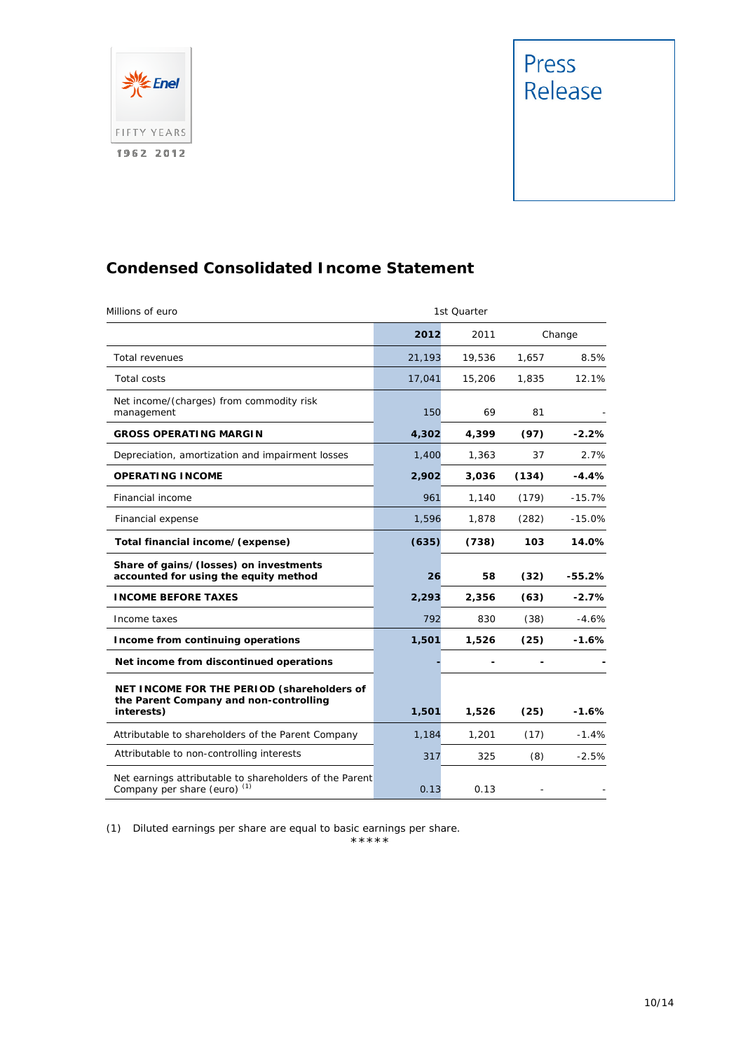



# **Condensed Consolidated Income Statement**

| Millions of euro                                                                                   |        | 1st Quarter |        |          |
|----------------------------------------------------------------------------------------------------|--------|-------------|--------|----------|
|                                                                                                    | 2012   | 2011        | Change |          |
| <b>Total revenues</b>                                                                              | 21,193 | 19,536      | 1,657  | 8.5%     |
| <b>Total costs</b>                                                                                 | 17,041 | 15,206      | 1,835  | 12.1%    |
| Net income/(charges) from commodity risk<br>management                                             | 150    | 69          | 81     |          |
| <b>GROSS OPERATING MARGIN</b>                                                                      | 4,302  | 4,399       | (97)   | $-2.2%$  |
| Depreciation, amortization and impairment losses                                                   | 1,400  | 1,363       | 37     | 2.7%     |
| <b>OPERATING INCOME</b>                                                                            | 2,902  | 3,036       | (134)  | $-4.4%$  |
| Financial income                                                                                   | 961    | 1,140       | (179)  | $-15.7%$ |
| Financial expense                                                                                  | 1,596  | 1,878       | (282)  | $-15.0%$ |
| Total financial income/(expense)                                                                   | (635)  | (738)       | 103    | 14.0%    |
| Share of gains/(losses) on investments<br>accounted for using the equity method                    | 26     | 58          | (32)   | $-55.2%$ |
| <b>INCOME BEFORE TAXES</b>                                                                         | 2,293  | 2,356       | (63)   | $-2.7%$  |
| Income taxes                                                                                       | 792    | 830         | (38)   | $-4.6%$  |
| Income from continuing operations                                                                  | 1,501  | 1,526       | (25)   | $-1.6%$  |
| Net income from discontinued operations                                                            |        |             |        |          |
| NET INCOME FOR THE PERIOD (shareholders of<br>the Parent Company and non-controlling<br>interests) | 1,501  | 1,526       | (25)   | -1.6%    |
| Attributable to shareholders of the Parent Company                                                 | 1,184  | 1,201       | (17)   | $-1.4%$  |
| Attributable to non-controlling interests                                                          | 317    | 325         | (8)    | $-2.5%$  |
| Net earnings attributable to shareholders of the Parent<br>Company per share (euro) <sup>(1)</sup> | 0.13   | 0.13        |        |          |

(1) Diluted earnings per share are equal to basic earnings per share.

$$
{}^{\star\star\star\star\star}
$$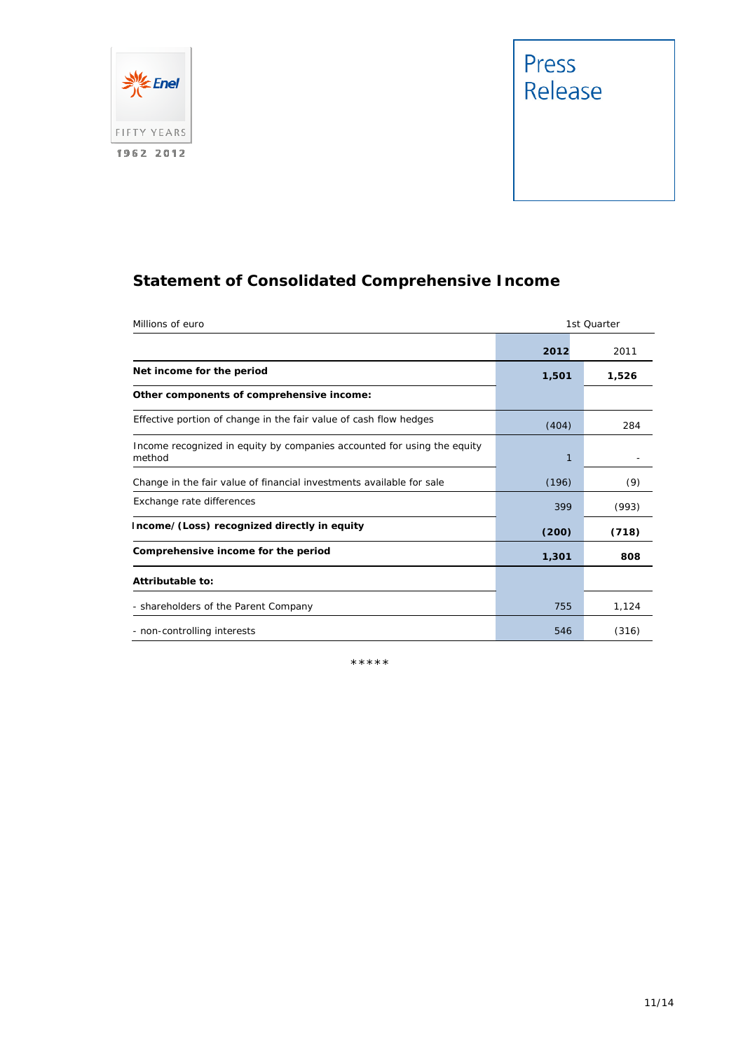

# Press<br>Release

# **Statement of Consolidated Comprehensive Income**

| Millions of euro                                                                  |       | 1st Quarter |
|-----------------------------------------------------------------------------------|-------|-------------|
|                                                                                   | 2012  | 2011        |
| Net income for the period                                                         | 1,501 | 1,526       |
| Other components of comprehensive income:                                         |       |             |
| Effective portion of change in the fair value of cash flow hedges                 | (404) | 284         |
| Income recognized in equity by companies accounted for using the equity<br>method | 1     |             |
| Change in the fair value of financial investments available for sale              | (196) | (9)         |
| Exchange rate differences                                                         | 399   | (993)       |
| Income/(Loss) recognized directly in equity                                       | (200) | (718)       |
| Comprehensive income for the period                                               | 1,301 | 808         |
| Attributable to:                                                                  |       |             |
| - shareholders of the Parent Company                                              | 755   | 1,124       |
| - non-controlling interests                                                       | 546   | (316)       |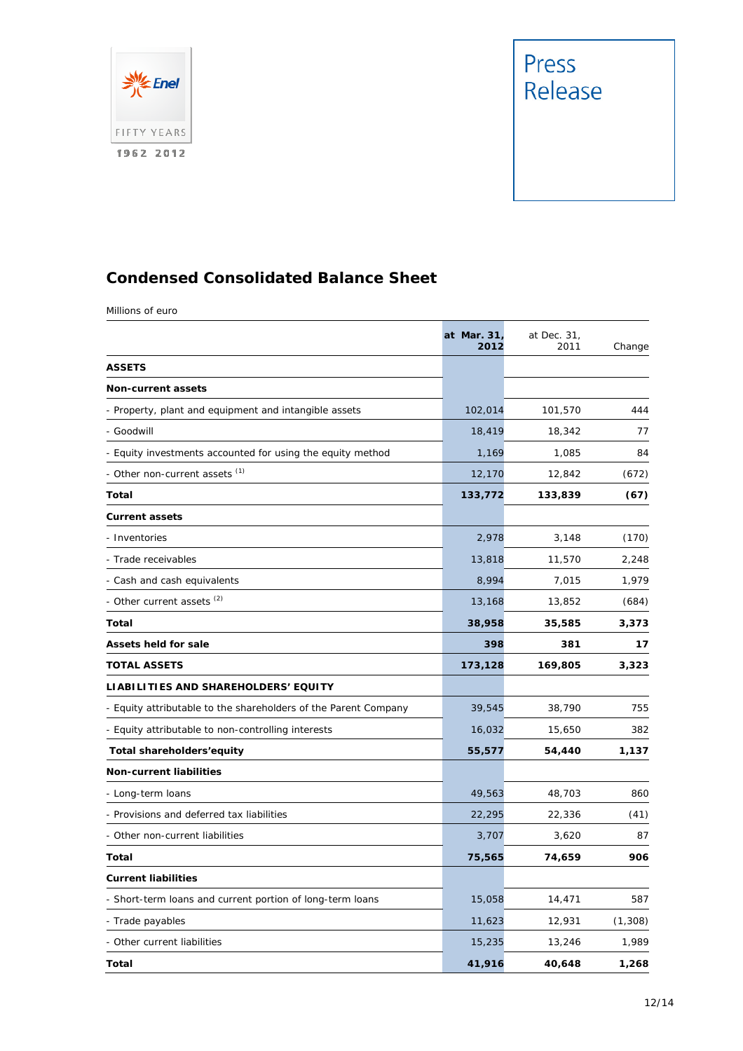



# **Condensed Consolidated Balance Sheet**

Millions of euro

|                                                                 | at Mar. 31,<br>2012 | at Dec. 31,<br>2011 | Change  |
|-----------------------------------------------------------------|---------------------|---------------------|---------|
| <b>ASSETS</b>                                                   |                     |                     |         |
| <b>Non-current assets</b>                                       |                     |                     |         |
| - Property, plant and equipment and intangible assets           | 102,014             | 101,570             | 444     |
| - Goodwill                                                      | 18,419              | 18,342              | 77      |
| Equity investments accounted for using the equity method        | 1,169               | 1,085               | 84      |
| - Other non-current assets (1)                                  | 12,170              | 12,842              | (672)   |
| Total                                                           | 133,772             | 133,839             | (67)    |
| <b>Current assets</b>                                           |                     |                     |         |
| - Inventories                                                   | 2,978               | 3,148               | (170)   |
| - Trade receivables                                             | 13,818              | 11,570              | 2,248   |
| - Cash and cash equivalents                                     | 8,994               | 7,015               | 1,979   |
| - Other current assets (2)                                      | 13,168              | 13,852              | (684)   |
| <b>Total</b>                                                    | 38,958              | 35,585              | 3,373   |
| <b>Assets held for sale</b>                                     | 398                 | 381                 | 17      |
| <b>TOTAL ASSETS</b>                                             | 173,128             | 169,805             | 3,323   |
| LIABILITIES AND SHAREHOLDERS' EQUITY                            |                     |                     |         |
| - Equity attributable to the shareholders of the Parent Company | 39,545              | 38,790              | 755     |
| - Equity attributable to non-controlling interests              | 16,032              | 15,650              | 382     |
| Total shareholders'equity                                       | 55,577              | 54,440              | 1,137   |
| <b>Non-current liabilities</b>                                  |                     |                     |         |
| - Long-term loans                                               | 49,563              | 48,703              | 860     |
| - Provisions and deferred tax liabilities                       | 22,295              | 22,336              | (41)    |
| - Other non-current liabilities                                 | 3,707               | 3,620               | 87      |
| Total                                                           | 75,565              | 74,659              | 906     |
| <b>Current liabilities</b>                                      |                     |                     |         |
| - Short-term loans and current portion of long-term loans       | 15,058              | 14,471              | 587     |
| - Trade payables                                                | 11,623              | 12,931              | (1,308) |
| - Other current liabilities                                     | 15,235              | 13,246              | 1,989   |
| <b>Total</b>                                                    | 41,916              | 40,648              | 1,268   |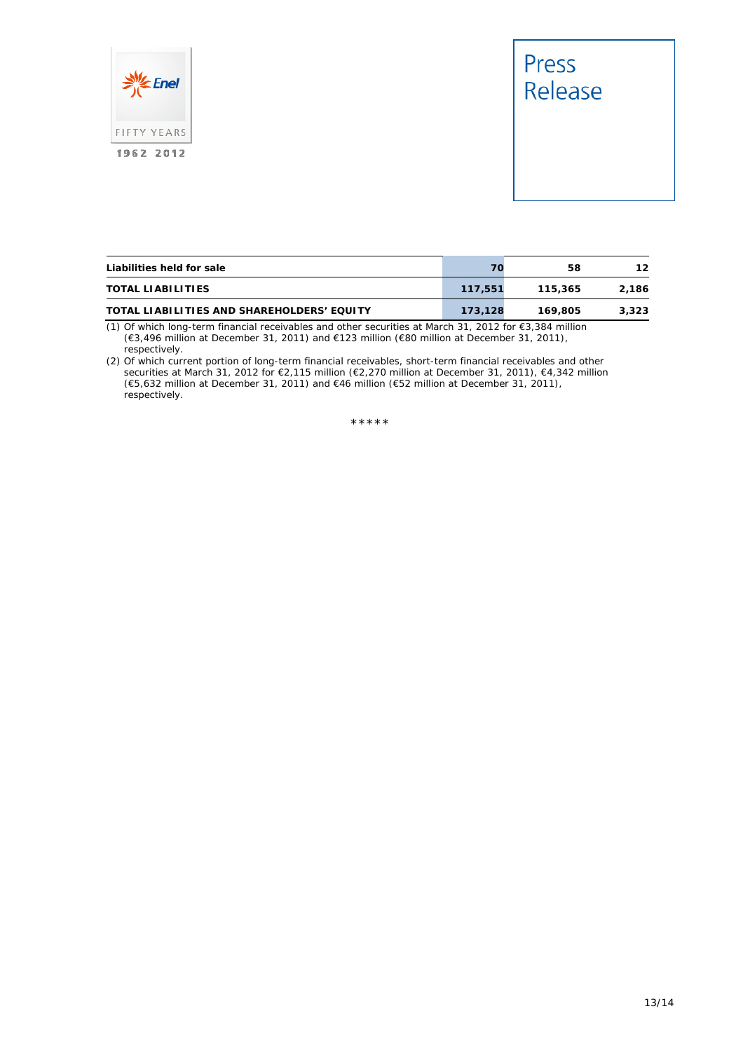



| Liabilities held for sale                  |         | 58      | 12    |
|--------------------------------------------|---------|---------|-------|
| <b>TOTAL LIABILITIES</b>                   | 117,551 | 115.365 | 2.186 |
| TOTAL LIABILITIES AND SHAREHOLDERS' EQUITY | 173.128 | 169.805 | 3,323 |

(1) Of which long-term financial receivables and other securities at March 31, 2012 for €3,384 million (€3,496 million at December 31, 2011) and €123 million (€80 million at December 31, 2011), respectively.

(2) Of which current portion of long-term financial receivables, short-term financial receivables and other securities at March 31, 2012 for €2,115 million (€2,270 million at December 31, 2011), €4,342 million (€5,632 million at December 31, 2011) and €46 million (€52 million at December 31, 2011), respectively.